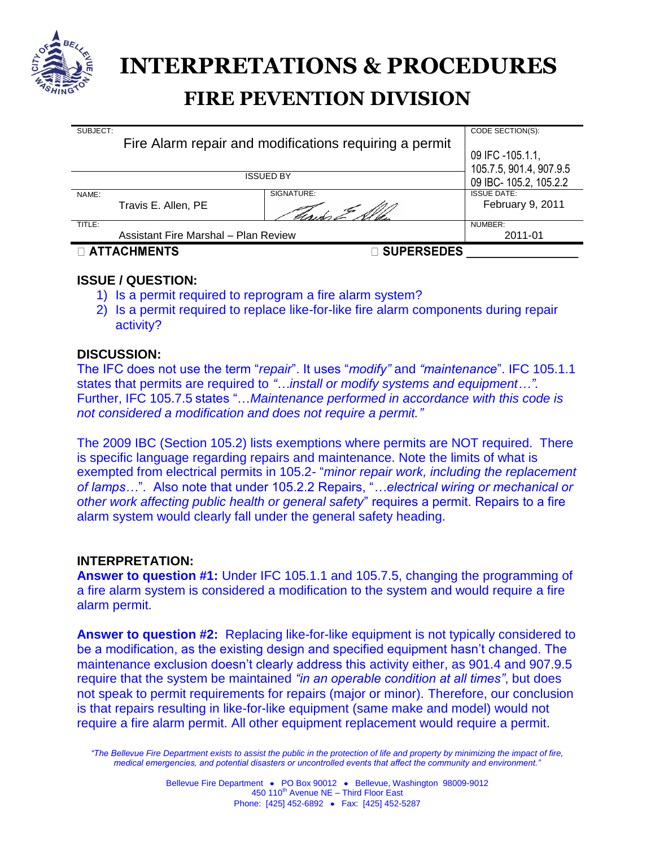

# **FIRE PEVENTION DIVISION INTERPRETATIONS & PROCEDURES**

| SUBJECT:<br>Fire Alarm repair and modifications requiring a permit |                   | CODE SECTION(S):                                 |
|--------------------------------------------------------------------|-------------------|--------------------------------------------------|
|                                                                    |                   | 09 IFC -105.1.1,                                 |
| <b>ISSUED BY</b>                                                   |                   | 105.7.5, 901.4, 907.9.5<br>09 IBC-105.2, 105.2.2 |
| NAME:<br>Travis E. Allen, PE                                       | SIGNATURE:        | <b>ISSUE DATE:</b><br>February 9, 2011           |
| TITLE:<br>Assistant Fire Marshal - Plan Review                     |                   | NUMBER:<br>2011-01                               |
| <b>D ATTACHMENTS</b>                                               | <b>SUPERSEDES</b> |                                                  |

# **ISSUE / QUESTION:**

- 1) Is a permit required to reprogram a fire alarm system?
- 2) Is a permit required to replace like-for-like fire alarm components during repair activity?

# **DISCUSSION:**

The IFC does not use the term "*repair*". It uses "*modify"* and *"maintenance*". IFC 105.1.1 states that permits are required to *"…install or modify systems and equipment…".* Further, IFC 105.7.5 states "…*Maintenance performed in accordance with this code is not considered a modification and does not require a permit."*

The 2009 IBC (Section 105.2) lists exemptions where permits are NOT required. There is specific language regarding repairs and maintenance. Note the limits of what is exempted from electrical permits in 105.2- "*minor repair work, including the replacement of lamps…*". Also note that under 105.2.2 Repairs, "*…electrical wiring or mechanical or other work affecting public health or general safety*" requires a permit. Repairs to a fire alarm system would clearly fall under the general safety heading.

## **INTERPRETATION:**

**Answer to question #1:** Under IFC 105.1.1 and 105.7.5, changing the programming of a fire alarm system is considered a modification to the system and would require a fire alarm permit.

**Answer to question #2:** Replacing like-for-like equipment is not typically considered to be a modification, as the existing design and specified equipment hasn't changed. The maintenance exclusion doesn't clearly address this activity either, as 901.4 and 907.9.5 require that the system be maintained *"in an operable condition at all times"*, but does not speak to permit requirements for repairs (major or minor). Therefore, our conclusion is that repairs resulting in like-for-like equipment (same make and model) would not require a fire alarm permit. All other equipment replacement would require a permit.

*"The Bellevue Fire Department exists to assist the public in the protection of life and property by minimizing the impact of fire, medical emergencies, and potential disasters or uncontrolled events that affect the community and environment."*